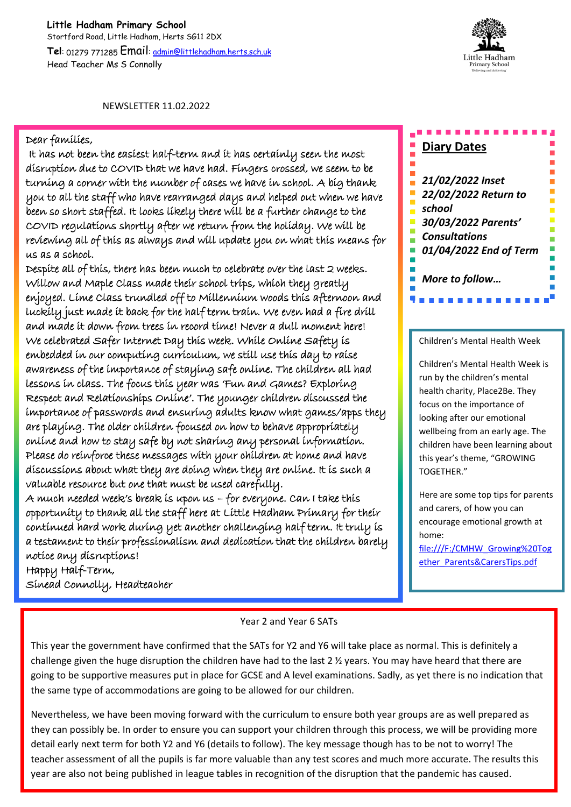## **Little Hadham Primary School** Stortford Road, Little Hadham, Herts SG11 2DX **Tel**: 01279 771285 Email: admin@littlehadham.herts.sch.uk Head Teacher Ms S Connolly



NEWSLETTER 11.02.2022

## Dear families,

 It has not been the easiest half-term and it has certainly seen the most disruption due to COVID that we have had. Fingers crossed, we seem to be turning a corner with the number of cases we have in school. A big thank you to all the staff who have rearranged days and helped out when we have been so short staffed. It looks likely there will be a further change to the COVID regulations shortly after we return from the holiday. We will be reviewing all of this as always and will update you on what this means for us as a school.

Despite all of this, there has been much to celebrate over the last 2 weeks. Willow and Maple Class made their school trips, which they greatly enjoyed. Lime Class trundled off to Millennium woods this afternoon and luckily just made it back for the half term train. We even had a fire drill and made it down from trees in record time! Never a dull moment here! We celebrated Safer Internet Day this week. While Online Safety is embedded in our computing curriculum, we still use this day to raise awareness of the importance of staying safe online. The children all had lessons in class. The focus this year was 'Fun and Games? Exploring Respect and Relationships Online'. The younger children discussed the importance of passwords and ensuring adults know what games/apps they are playing. The older children focused on how to behave appropriately online and how to stay safe by not sharing any personal information. Please do reinforce these messages with your children at home and have discussions about what they are doing when they are online. It is such a valuable resource but one that must be used carefully.

A much needed week's break is upon us – for everyone. Can I take this opportunity to thank all the staff here at Little Hadham Primary for their continued hard work during yet another challenging half term. It truly is a testament to their professionalism and dedication that the children barely notice any disruptions!

**Diary Dates**

*21/02/2022 Inset 22/02/2022 Return to school 30/03/2022 Parents' Consultations 01/04/2022 End of Term More to follow…*

## Children's Mental Health Week

. . . . . . . . . .

Children's Mental Health Week is run by the children's mental health charity, Place2Be. They focus on the importance of looking after our emotional wellbeing from an early age. The children have been learning about this year's theme, "GROWING TOGETHER."

Here are some top tips for parents and carers, of how you can encourage emotional growth at home: file:///F:/CMHW\_Growing%20Tog

ether\_Parents&CarersTips.pdf

Happy Half-Term,

Sinead Connolly, Headteacher

## Year 2 and Year 6 SATs

This year the government have confirmed that the SATs for Y2 and Y6 will take place as normal. This is definitely a challenge given the huge disruption the children have had to the last 2 ½ years. You may have heard that there are going to be supportive measures put in place for GCSE and A level examinations. Sadly, as yet there is no indication that the same type of accommodations are going to be allowed for our children.

Nevertheless, we have been moving forward with the curriculum to ensure both year groups are as well prepared as they can possibly be. In order to ensure you can support your children through this process, we will be providing more detail early next term for both Y2 and Y6 (details to follow). The key message though has to be not to worry! The teacher assessment of all the pupils is far more valuable than any test scores and much more accurate. The results this year are also not being published in league tables in recognition of the disruption that the pandemic has caused.